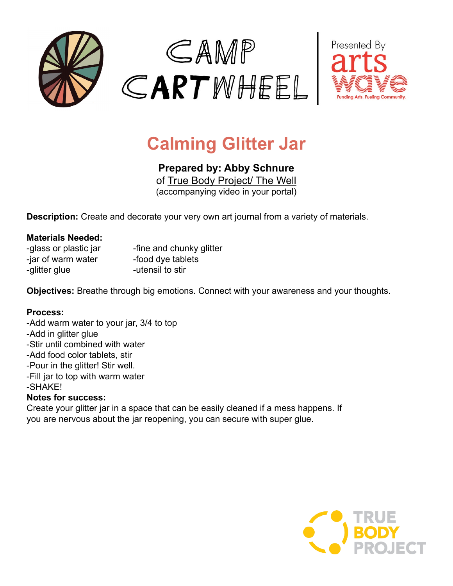



# **Calming Glitter Jar**

**Prepared by: Abby Schnure**

o[f](http://www.wumpmucketpuppets.com/) [True Body Project/ The Well](http://www.thewell.world) (accompanying video in your portal)

**Description:** Create and decorate your very own art journal from a variety of materials.

### **Materials Needed:**

| -glass or plastic jar | -fine and chunky glitter |
|-----------------------|--------------------------|
| -jar of warm water    | -food dye tablets        |
| -glitter glue         | -utensil to stir         |

**Objectives:** Breathe through big emotions. Connect with your awareness and your thoughts.

### **Process:**

-Add warm water to your jar, 3/4 to top -Add in glitter glue -Stir until combined with water -Add food color tablets, stir -Pour in the glitter! Stir well. -Fill jar to top with warm water -SHAKE! **Notes for success:** Create your glitter jar in a space that can be easily cleaned if a mess happens. If you are nervous about the jar reopening, you can secure with super glue.